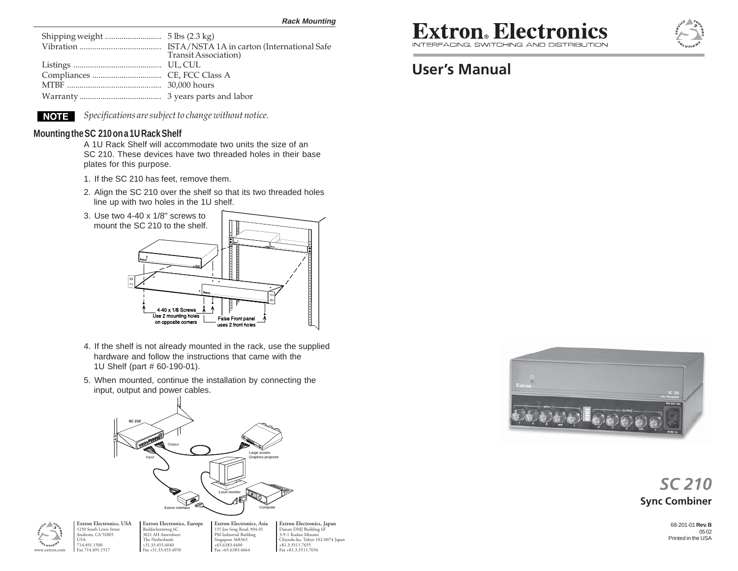| Transit Association) |
|----------------------|
|                      |
|                      |
|                      |
|                      |

NOTE |

*Specifications are subject to change without notice.*

# **Mounting the SC 210 on a 1U Rack Shelf**

A 1U Rack Shelf will accommodate two units the size of an SC 210. These devices have two threaded holes in their baseplates for this purpose.

- 1. If the SC 210 has feet, remove them.
- 2. Align the SC 210 over the shelf so that its two threaded holes line up with two holes in the 1U shelf.
- 3. Use two 4-40 x 1/8" screws to mount the SC 210 to the shelf.4-40 x 1/8 Screws Use 2 mounting holes False Front panel on opposite corners uses 2 front holes
- 4. If the shelf is not already mounted in the rack, use the supplied hardware and follow the instructions that came with the1U Shelf (part # 60-190-01).
- 5. When mounted, continue the installation by connecting the input, output and power cables.



135 Joo Seng Road, #04-01 PM Industrial Building Singapore 368363 +65.6383.4400 Fax +65.6383.4664



**Extron Electronics, USA** 1230 South Lewis StreetAnaheim, CA 92805 USA 714.491.1500 Fax 714.491.1517

**Extron Electronics, Europe** Beeldschermweg 6C 3821 AH Amersfoort The Netherlands +31.33.453.4040 Fax +31.33.453.4050

**Extron Electronics, Asia Extron Electronics, Japan** Daisan DMJ Building 6F 3-9-1 Kudan Minami Chiyoda-ku, Tokyo 102-0074 Japan +81.3.3511.7655 Fax +81.3.3511.7656



# **User's Manual**



# **Sync Combiner** *SC 210*

68-201-01 **Rev. B** 05 02Printed in the USA